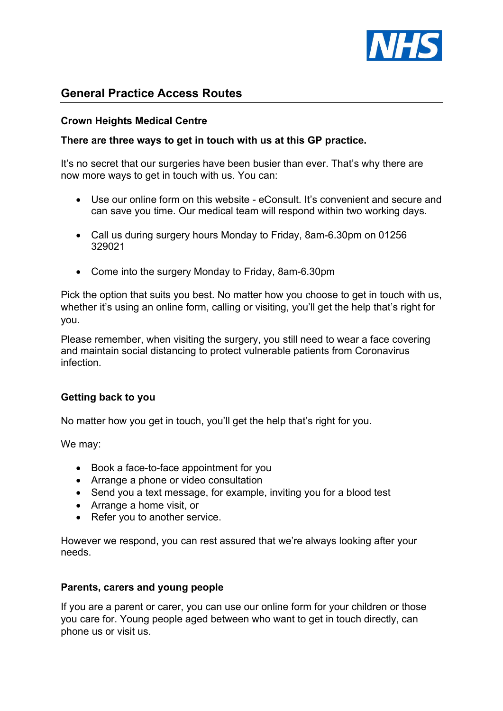

# General Practice Access Routes

## Crown Heights Medical Centre

### There are three ways to get in touch with us at this GP practice.

It's no secret that our surgeries have been busier than ever. That's why there are now more ways to get in touch with us. You can:

- Use our online form on this website eConsult. It's convenient and secure and can save you time. Our medical team will respond within two working days.
- Call us during surgery hours Monday to Friday, 8am-6.30pm on 01256 329021
- Come into the surgery Monday to Friday, 8am-6.30pm

Pick the option that suits you best. No matter how you choose to get in touch with us, whether it's using an online form, calling or visiting, you'll get the help that's right for you.

Please remember, when visiting the surgery, you still need to wear a face covering and maintain social distancing to protect vulnerable patients from Coronavirus infection.

#### Getting back to you

No matter how you get in touch, you'll get the help that's right for you.

We may:

- Book a face-to-face appointment for you
- Arrange a phone or video consultation
- Send you a text message, for example, inviting you for a blood test
- Arrange a home visit, or
- Refer you to another service.

However we respond, you can rest assured that we're always looking after your needs.

#### Parents, carers and young people

If you are a parent or carer, you can use our online form for your children or those you care for. Young people aged between who want to get in touch directly, can phone us or visit us.